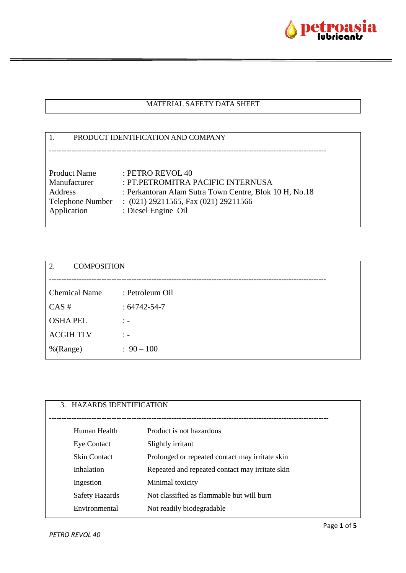

### MATERIAL SAFETY DATA SHEET

# 1. PRODUCT IDENTIFICATION AND COMPANY --------------------------------------------------------------------------------------------------------------- Product Name : PETRO REVOL 40 Manufacturer : PT.PETROMITRA PACIFIC INTERNUSA Address : Perkantoran Alam Sutra Town Centre, Blok 10 H, No.18 Telephone Number : (021) 29211565, Fax (021) 29211566 Application : Diesel Engine Oil

| 2.<br><b>COMPOSITION</b> |                   |
|--------------------------|-------------------|
|                          |                   |
| <b>Chemical Name</b>     | : Petroleum Oil   |
| CAS#                     | $:64742 - 54 - 7$ |
| <b>OSHAPEL</b>           | $\therefore$      |
| <b>ACGIHTLV</b>          | $\therefore$      |
| %(Range)                 | $: 90 - 100$      |
|                          |                   |

| 3. HAZARDS IDENTIFICATION |                                                 |
|---------------------------|-------------------------------------------------|
| Human Health              | Product is not hazardous                        |
| <b>Eye Contact</b>        | Slightly irritant                               |
| <b>Skin Contact</b>       | Prolonged or repeated contact may irritate skin |
| Inhalation                | Repeated and repeated contact may irritate skin |
| Ingestion                 | Minimal toxicity                                |
| Safety Hazards            | Not classified as flammable but will burn       |
| Environmental             | Not readily biodegradable                       |
|                           |                                                 |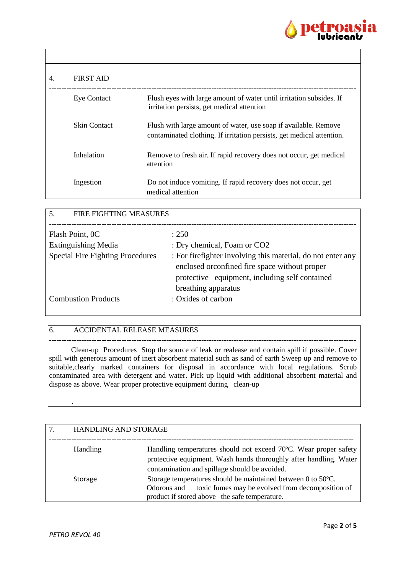

| 4. | <b>FIRST AID</b>    |                                                                                                                                          |
|----|---------------------|------------------------------------------------------------------------------------------------------------------------------------------|
|    | <b>Eye Contact</b>  | Flush eyes with large amount of water until irritation subsides. If<br>irritation persists, get medical attention                        |
|    | <b>Skin Contact</b> | Flush with large amount of water, use soap if available. Remove<br>contaminated clothing. If irritation persists, get medical attention. |
|    | Inhalation          | Remove to fresh air. If rapid recovery does not occur, get medical<br>attention                                                          |
|    | Ingestion           | Do not induce vomiting. If rapid recovery does not occur, get<br>medical attention                                                       |

| <b>FIRE FIGHTING MEASURES</b><br>.5.    |                                                              |
|-----------------------------------------|--------------------------------------------------------------|
|                                         |                                                              |
| Flash Point, OC                         | : 250                                                        |
| <b>Extinguishing Media</b>              | : Dry chemical, Foam or CO2                                  |
| <b>Special Fire Fighting Procedures</b> | : For fire fighter involving this material, do not enter any |
|                                         | enclosed or<br>confined fire space without proper            |
|                                         | protective equipment, including self contained               |
|                                         | breathing apparatus                                          |
| <b>Combustion Products</b>              | : Oxides of carbon                                           |
|                                         |                                                              |

### 6. ACCIDENTAL RELEASE MEASURES

--------------------------------------------------------------------------------------------------------------------------- Clean-up Procedures Stop the source of leak or realease and contain spill if possible. Cover spill with generous amount of inert absorbent material such as sand of earth Sweep up and remove to suitable, clearly marked containers for disposal in accordance with local regulations. Scrub contaminated area with detergent and water. Pick up liquid with additional absorbent material and dispose as above. Wear proper protective equipment during clean-up

| <b>HANDLING AND STORAGE</b> |                                                                                                                                                                                        |
|-----------------------------|----------------------------------------------------------------------------------------------------------------------------------------------------------------------------------------|
| <b>Handling</b>             | Handling temperatures should not exceed 70°C. Wear proper safety<br>protective equipment. Wash hands thoroughly after handling. Water<br>contamination and spillage should be avoided. |
| Storage                     | Storage temperatures should be maintained between 0 to 50°C.<br>toxic fumes may be evolved from decomposition of<br>Odorous and<br>product if stored above the safe temperature.       |

.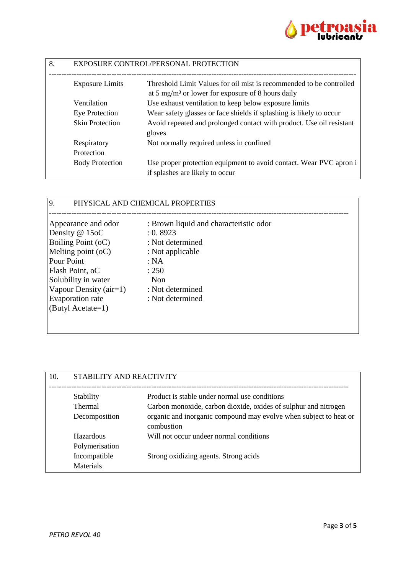

| 8. | <b>EXPOSURE CONTROL/PERSONAL PROTECTION</b> |                                                                                                       |
|----|---------------------------------------------|-------------------------------------------------------------------------------------------------------|
|    | <b>Exposure Limits</b>                      | Threshold Limit Values for oil mist is recommended to be controlled                                   |
|    |                                             | at 5 mg/m <sup>3</sup> or lower for exposure of 8 hours daily                                         |
|    | Ventilation                                 | Use exhaust ventilation to keep below exposure limits                                                 |
|    | Eye Protection                              | Wear safety glasses or face shields if splashing is likely to occur                                   |
|    | <b>Skin Protection</b>                      | Avoid repeated and prolonged contact with product. Use oil resistant<br>gloves                        |
|    | Respiratory                                 | Not normally required unless in confined                                                              |
|    | Protection                                  |                                                                                                       |
|    | <b>Body Protection</b>                      | Use proper protection equipment to avoid contact. Wear PVC apron i<br>if splashes are likely to occur |

## 9. PHYSICAL AND CHEMICAL PROPERTIES

| : 0.8923         |
|------------------|
| : Not determined |
| : Not applicable |
| : NA             |
| : 250            |
| Non              |
| : Not determined |
| : Not determined |
|                  |
|                  |
|                  |

| 10. | STABILITY AND REACTIVITY |                                                                                 |
|-----|--------------------------|---------------------------------------------------------------------------------|
|     | Stability                | Product is stable under normal use conditions                                   |
|     | <b>Thermal</b>           | Carbon monoxide, carbon dioxide, oxides of sulphur and nitrogen                 |
|     | Decomposition            | organic and inorganic compound may evolve when subject to heat or<br>combustion |
|     | Hazardous                | Will not occur undeer normal conditions                                         |
|     | Polymerisation           |                                                                                 |
|     | Incompatible             | Strong oxidizing agents. Strong acids                                           |
|     | <b>Materials</b>         |                                                                                 |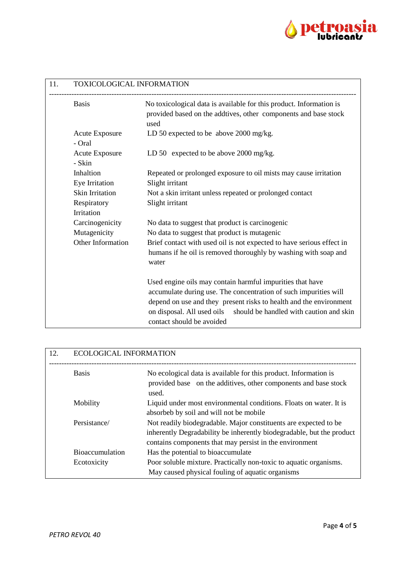

| 11. | TOXICOLOGICAL INFORMATION       |                                                                                                                                                                                                                                                                                                        |
|-----|---------------------------------|--------------------------------------------------------------------------------------------------------------------------------------------------------------------------------------------------------------------------------------------------------------------------------------------------------|
|     | <b>Basis</b>                    | No toxicological data is available for this product. Information is<br>provided based on the addtives, other components and base stock<br>used                                                                                                                                                         |
|     | <b>Acute Exposure</b><br>- Oral | LD 50 expected to be above $2000 \text{ mg/kg}$ .                                                                                                                                                                                                                                                      |
|     | <b>Acute Exposure</b><br>- Skin | LD 50 expected to be above 2000 mg/kg.                                                                                                                                                                                                                                                                 |
|     | Inhaltion<br>Eye Irritation     | Repeated or prolonged exposure to oil mists may cause irritation<br>Slight irritant                                                                                                                                                                                                                    |
|     | Skin Irritation                 | Not a skin irritant unless repeated or prolonged contact                                                                                                                                                                                                                                               |
|     | Respiratory                     | Slight irritant                                                                                                                                                                                                                                                                                        |
|     | Irritation                      |                                                                                                                                                                                                                                                                                                        |
|     | Carcinogenicity                 | No data to suggest that product is carcinogenic                                                                                                                                                                                                                                                        |
|     | Mutagenicity                    | No data to suggest that product is mutagenic                                                                                                                                                                                                                                                           |
|     | Other Information               | Brief contact with used oil is not expected to have serious effect in<br>humans if he oil is removed thoroughly by washing with soap and<br>water                                                                                                                                                      |
|     |                                 | Used engine oils may contain harmful impurities that have<br>accumulate during use. The concentration of such impurities will<br>depend on use and they present risks to health and the environment<br>on disposal. All used oils should be handled with caution and skin<br>contact should be avoided |

| 12. | <b>ECOLOGICAL INFORMATION</b> |                                                                                                                                                                                                      |
|-----|-------------------------------|------------------------------------------------------------------------------------------------------------------------------------------------------------------------------------------------------|
|     | <b>Basis</b>                  | No ecological data is available for this product. Information is<br>provided base on the additives, other components and base stock<br>used.                                                         |
|     | Mobility                      | Liquid under most environmental conditions. Floats on water. It is<br>absorbeb by soil and will not be mobile                                                                                        |
|     | Persistance/                  | Not readily biodegradable. Major constituents are expected to be<br>inherently Degradability be inherently biodegradable, but the product<br>contains components that may persist in the environment |
|     | <b>Bioaccumulation</b>        | Has the potential to bioaccumulate                                                                                                                                                                   |
|     | Ecotoxicity                   | Poor soluble mixture. Practically non-toxic to aquatic organisms.<br>May caused physical fouling of aquatic organisms                                                                                |